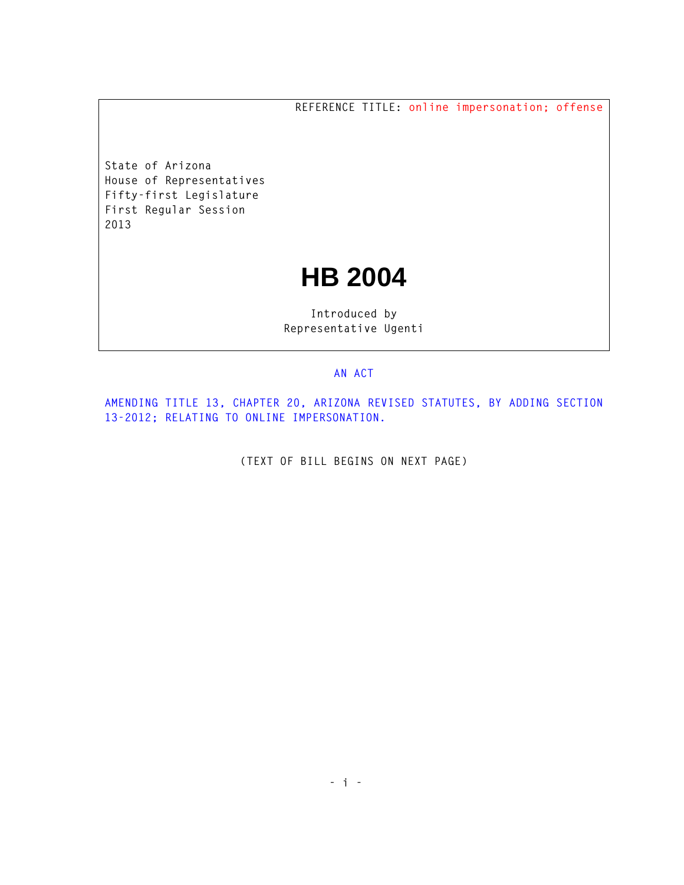**REFERENCE TITLE: online impersonation; offense**

**State of Arizona House of Representatives Fifty-first Legislature First Regular Session 2013** 

## **HB 2004**

**Introduced by Representative Ugenti** 

## **AN ACT**

**AMENDING TITLE 13, CHAPTER 20, ARIZONA REVISED STATUTES, BY ADDING SECTION 13-2012; RELATING TO ONLINE IMPERSONATION.** 

**(TEXT OF BILL BEGINS ON NEXT PAGE)**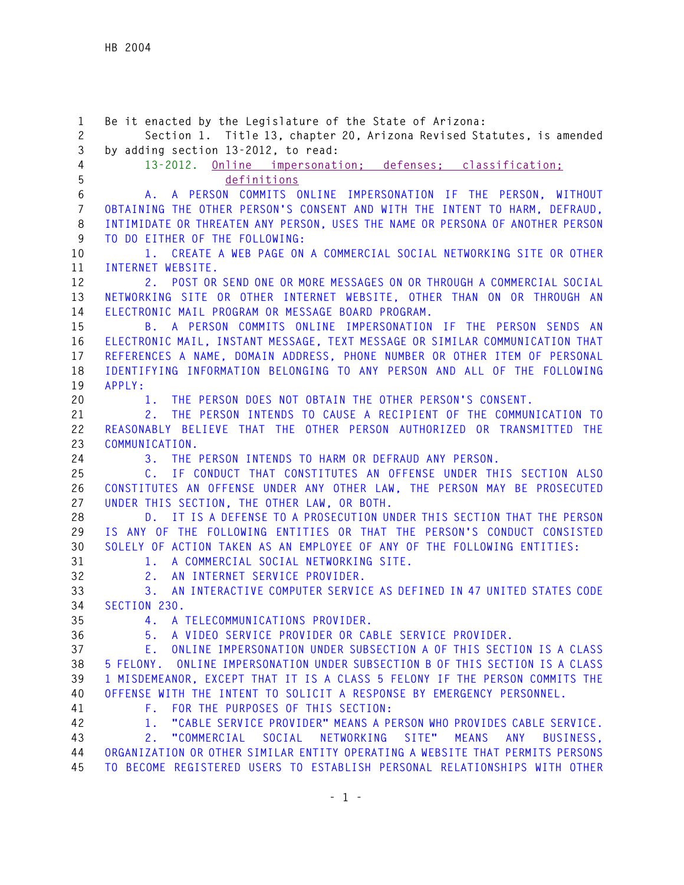**1 Be it enacted by the Legislature of the State of Arizona: 2 Section 1. Title 13, chapter 20, Arizona Revised Statutes, is amended 3 by adding section 13-2012, to read: 4 13-2012. Online impersonation; defenses; classification; 5 definitions 6 A. A PERSON COMMITS ONLINE IMPERSONATION IF THE PERSON, WITHOUT 7 OBTAINING THE OTHER PERSON'S CONSENT AND WITH THE INTENT TO HARM, DEFRAUD, 8 INTIMIDATE OR THREATEN ANY PERSON, USES THE NAME OR PERSONA OF ANOTHER PERSON 9 TO DO EITHER OF THE FOLLOWING: 10 1. CREATE A WEB PAGE ON A COMMERCIAL SOCIAL NETWORKING SITE OR OTHER 11 INTERNET WEBSITE. 12 2. POST OR SEND ONE OR MORE MESSAGES ON OR THROUGH A COMMERCIAL SOCIAL 13 NETWORKING SITE OR OTHER INTERNET WEBSITE, OTHER THAN ON OR THROUGH AN 14 ELECTRONIC MAIL PROGRAM OR MESSAGE BOARD PROGRAM. 15 B. A PERSON COMMITS ONLINE IMPERSONATION IF THE PERSON SENDS AN 16 ELECTRONIC MAIL, INSTANT MESSAGE, TEXT MESSAGE OR SIMILAR COMMUNICATION THAT 17 REFERENCES A NAME, DOMAIN ADDRESS, PHONE NUMBER OR OTHER ITEM OF PERSONAL 18 IDENTIFYING INFORMATION BELONGING TO ANY PERSON AND ALL OF THE FOLLOWING 19 APPLY: 20 1. THE PERSON DOES NOT OBTAIN THE OTHER PERSON'S CONSENT. 21 2. THE PERSON INTENDS TO CAUSE A RECIPIENT OF THE COMMUNICATION TO 22 REASONABLY BELIEVE THAT THE OTHER PERSON AUTHORIZED OR TRANSMITTED THE 23 COMMUNICATION. 24 3. THE PERSON INTENDS TO HARM OR DEFRAUD ANY PERSON. 25 C. IF CONDUCT THAT CONSTITUTES AN OFFENSE UNDER THIS SECTION ALSO 26 CONSTITUTES AN OFFENSE UNDER ANY OTHER LAW, THE PERSON MAY BE PROSECUTED 27 UNDER THIS SECTION, THE OTHER LAW, OR BOTH. 28 D. IT IS A DEFENSE TO A PROSECUTION UNDER THIS SECTION THAT THE PERSON 29 IS ANY OF THE FOLLOWING ENTITIES OR THAT THE PERSON'S CONDUCT CONSISTED 30 SOLELY OF ACTION TAKEN AS AN EMPLOYEE OF ANY OF THE FOLLOWING ENTITIES: 31 1. A COMMERCIAL SOCIAL NETWORKING SITE. 32 2. AN INTERNET SERVICE PROVIDER. 33 3. AN INTERACTIVE COMPUTER SERVICE AS DEFINED IN 47 UNITED STATES CODE 34 SECTION 230. 35 4. A TELECOMMUNICATIONS PROVIDER. 36 5. A VIDEO SERVICE PROVIDER OR CABLE SERVICE PROVIDER. 37 E. ONLINE IMPERSONATION UNDER SUBSECTION A OF THIS SECTION IS A CLASS 38 5 FELONY. ONLINE IMPERSONATION UNDER SUBSECTION B OF THIS SECTION IS A CLASS 39 1 MISDEMEANOR, EXCEPT THAT IT IS A CLASS 5 FELONY IF THE PERSON COMMITS THE 40 OFFENSE WITH THE INTENT TO SOLICIT A RESPONSE BY EMERGENCY PERSONNEL. 41 F. FOR THE PURPOSES OF THIS SECTION: 42 1. "CABLE SERVICE PROVIDER" MEANS A PERSON WHO PROVIDES CABLE SERVICE. 43 2. "COMMERCIAL SOCIAL NETWORKING SITE" MEANS ANY BUSINESS, 44 ORGANIZATION OR OTHER SIMILAR ENTITY OPERATING A WEBSITE THAT PERMITS PERSONS 45 TO BECOME REGISTERED USERS TO ESTABLISH PERSONAL RELATIONSHIPS WITH OTHER**